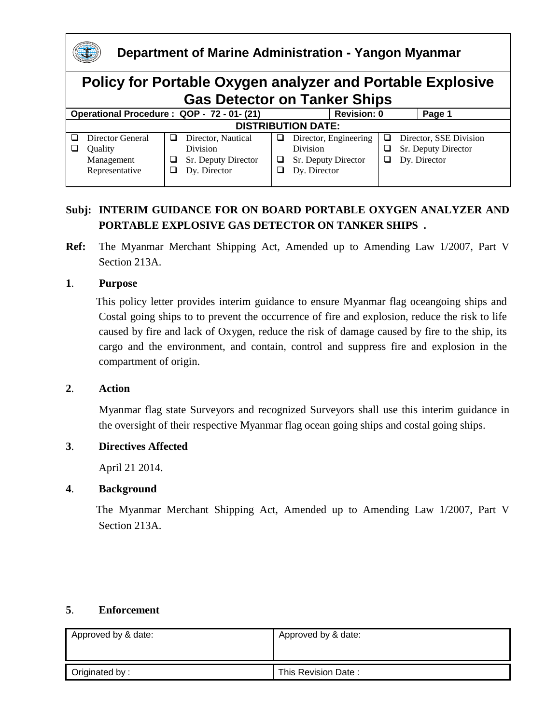

# **Subj: INTERIM GUIDANCE FOR ON BOARD PORTABLE OXYGEN ANALYZER AND PORTABLE EXPLOSIVE GAS DETECTOR ON TANKER SHIPS .**

**Ref:** The Myanmar Merchant Shipping Act, Amended up to Amending Law 1/2007, Part V Section 213A.

#### **1**. **Purpose**

 This policy letter provides interim guidance to ensure Myanmar flag oceangoing ships and Costal going ships to to prevent the occurrence of fire and explosion, reduce the risk to life caused by fire and lack of Oxygen, reduce the risk of damage caused by fire to the ship, its cargo and the environment, and contain, control and suppress fire and explosion in the compartment of origin.

#### **2**. **Action**

Myanmar flag state Surveyors and recognized Surveyors shall use this interim guidance in the oversight of their respective Myanmar flag ocean going ships and costal going ships.

#### **3**. **Directives Affected**

April 21 2014.

#### **4**. **Background**

The Myanmar Merchant Shipping Act, Amended up to Amending Law 1/2007, Part V Section 213A.

#### **5**. **Enforcement**

| Approved by & date: | Approved by & date: |
|---------------------|---------------------|
|                     |                     |
| Originated by:      | This Revision Date: |